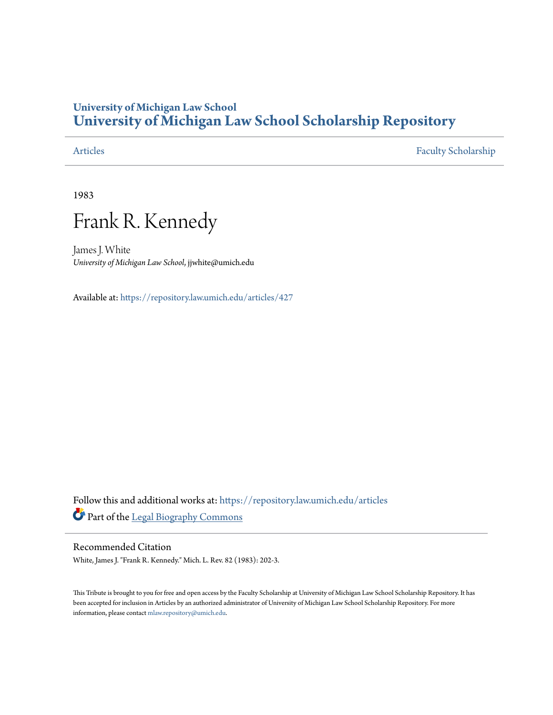## **University of Michigan Law School [University of Michigan Law School Scholarship Repository](https://repository.law.umich.edu/?utm_source=repository.law.umich.edu%2Farticles%2F427&utm_medium=PDF&utm_campaign=PDFCoverPages)**

[Articles](https://repository.law.umich.edu/articles?utm_source=repository.law.umich.edu%2Farticles%2F427&utm_medium=PDF&utm_campaign=PDFCoverPages) [Faculty Scholarship](https://repository.law.umich.edu/faculty_scholarship?utm_source=repository.law.umich.edu%2Farticles%2F427&utm_medium=PDF&utm_campaign=PDFCoverPages)

1983

# Frank R. Kennedy

James J. White *University of Michigan Law School*, jjwhite@umich.edu

Available at: <https://repository.law.umich.edu/articles/427>

Follow this and additional works at: [https://repository.law.umich.edu/articles](https://repository.law.umich.edu/articles?utm_source=repository.law.umich.edu%2Farticles%2F427&utm_medium=PDF&utm_campaign=PDFCoverPages) Part of the [Legal Biography Commons](http://network.bepress.com/hgg/discipline/834?utm_source=repository.law.umich.edu%2Farticles%2F427&utm_medium=PDF&utm_campaign=PDFCoverPages)

#### Recommended Citation

White, James J. "Frank R. Kennedy." Mich. L. Rev. 82 (1983): 202-3.

This Tribute is brought to you for free and open access by the Faculty Scholarship at University of Michigan Law School Scholarship Repository. It has been accepted for inclusion in Articles by an authorized administrator of University of Michigan Law School Scholarship Repository. For more information, please contact [mlaw.repository@umich.edu.](mailto:mlaw.repository@umich.edu)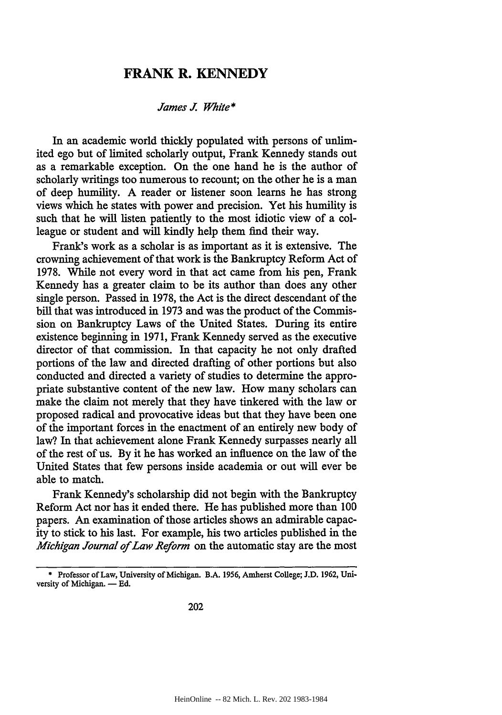### **FRANK R. KENNEDY**

#### *James J White\**

In an academic world thickly populated with persons of unlimited ego but of limited scholarly output, Frank Kennedy stands out as a remarkable exception. On the one hand he is the author of scholarly writings too numerous to recount; on the other he is a man of deep humility. A reader or listener soon learns he has strong views which he states with power and precision. Yet his humility is such that he will listen patiently to the most idiotic view of a colleague or student and will kindly help them find their way.

Frank's work as a scholar is as important as it is extensive. The crowning achievement of that work is the Bankruptcy Reform Act of 1978. While not every word in that act came from his pen, Frank Kennedy has a greater claim to be its author than does any other single person. Passed in 1978, the Act is the direct descendant of the bill that was introduced in 1973 and was the product of the Commission on Bankruptcy Laws of the United States. During its entire existence beginning in 1971, Frank Kennedy served as the executive director of that commission. In that capacity he not only drafted portions of the law and directed drafting of other portions but also conducted and directed a variety of studies to determine the appropriate substantive content of the new law. How many scholars can make the claim not merely that they have tinkered with the law or proposed radical and provocative ideas but that they have been one of the important forces in the enactment of an entirely new body of law? In that achievement alone Frank Kennedy surpasses nearly all of the rest of us. By it he has worked an influence on the law of the United States that few persons inside academia or out will ever be able to match.

Frank Kennedy's scholarship did not begin with the Bankruptcy Reform Act nor has it ended there. He has published more than 100 papers. An examination of those articles shows an admirable capacity to stick to his last. For example, his two articles published in the *Michigan Journal of Law Reform* on the automatic stay are the most

<sup>\*</sup> Professor of Law, University of Michigan. B.A. **1956,** Amherst College; **J.D. 1962,** University of Michigan.  $-$  Ed.